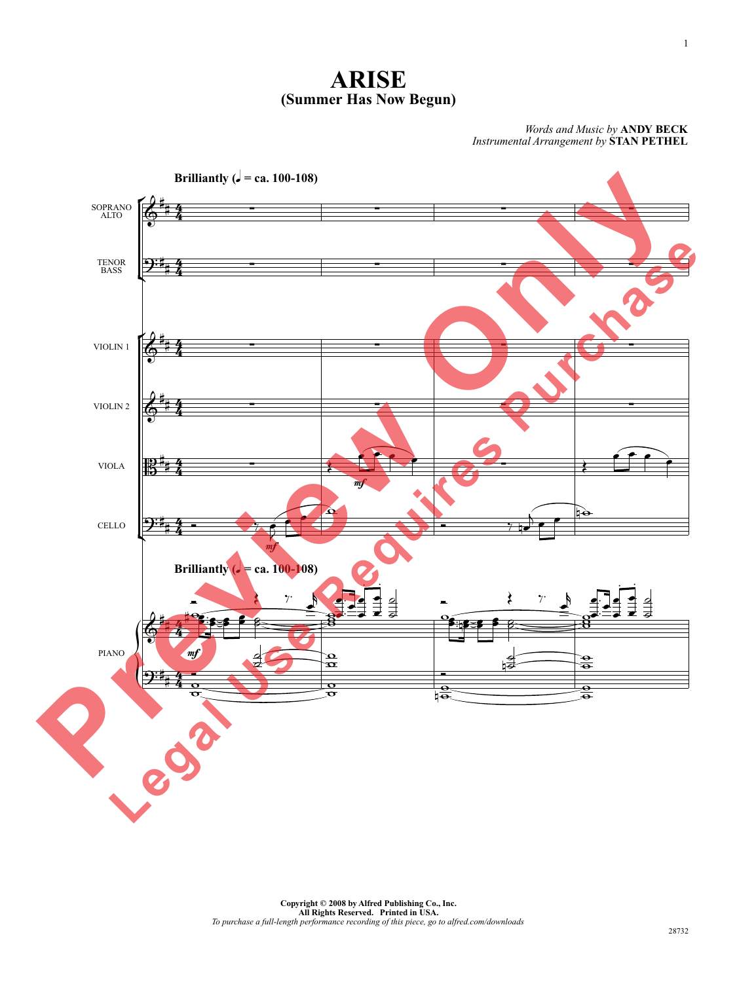## **ARISE (Summer Has Now Begun)**

## *Words and Music by* **ANDY BECK** *Instrumental Arrangement by* **STAN PETHEL**

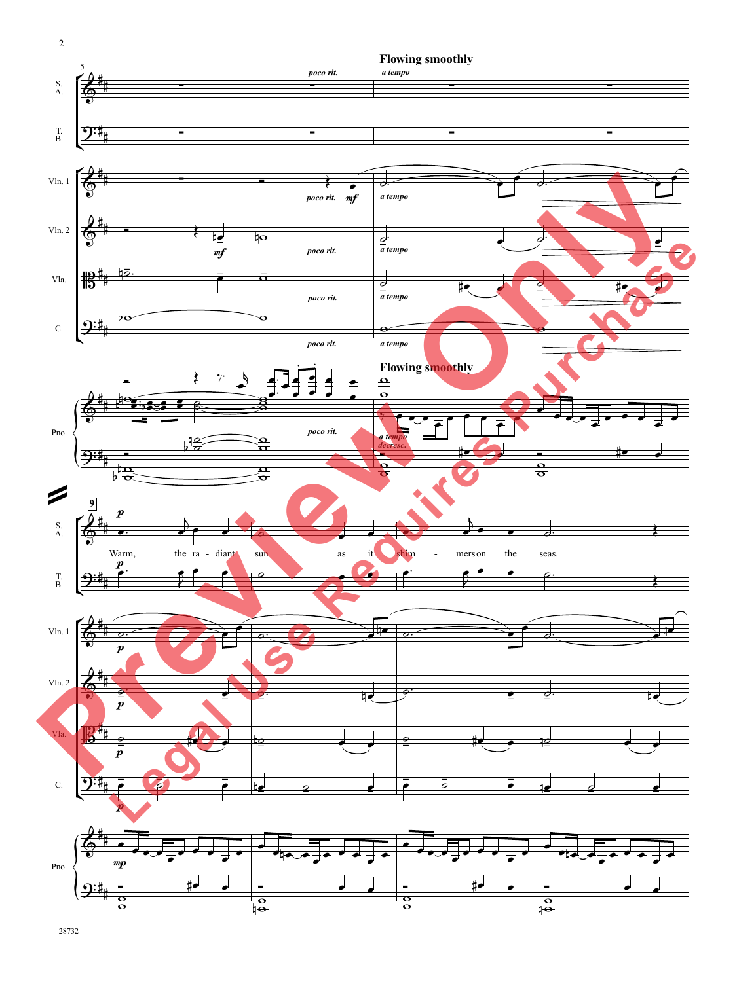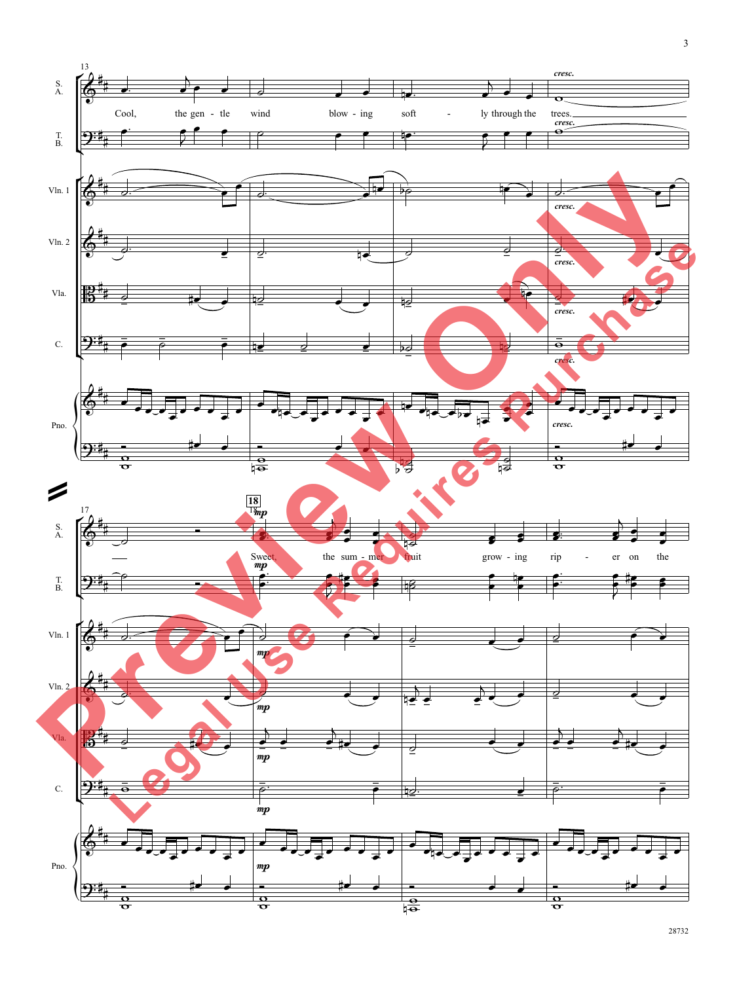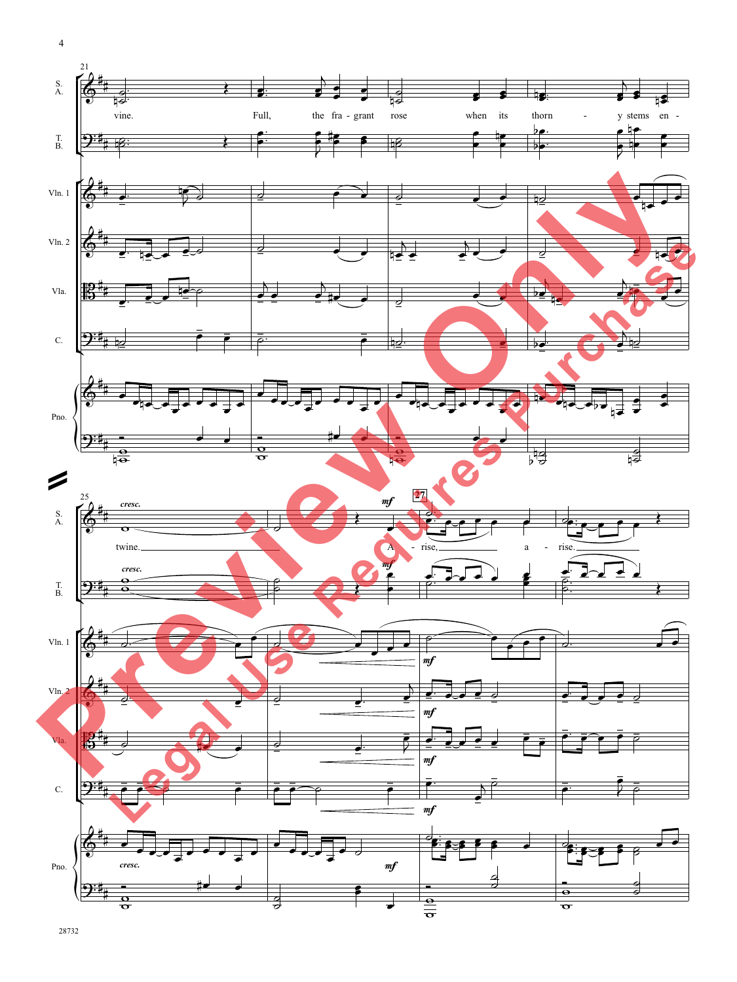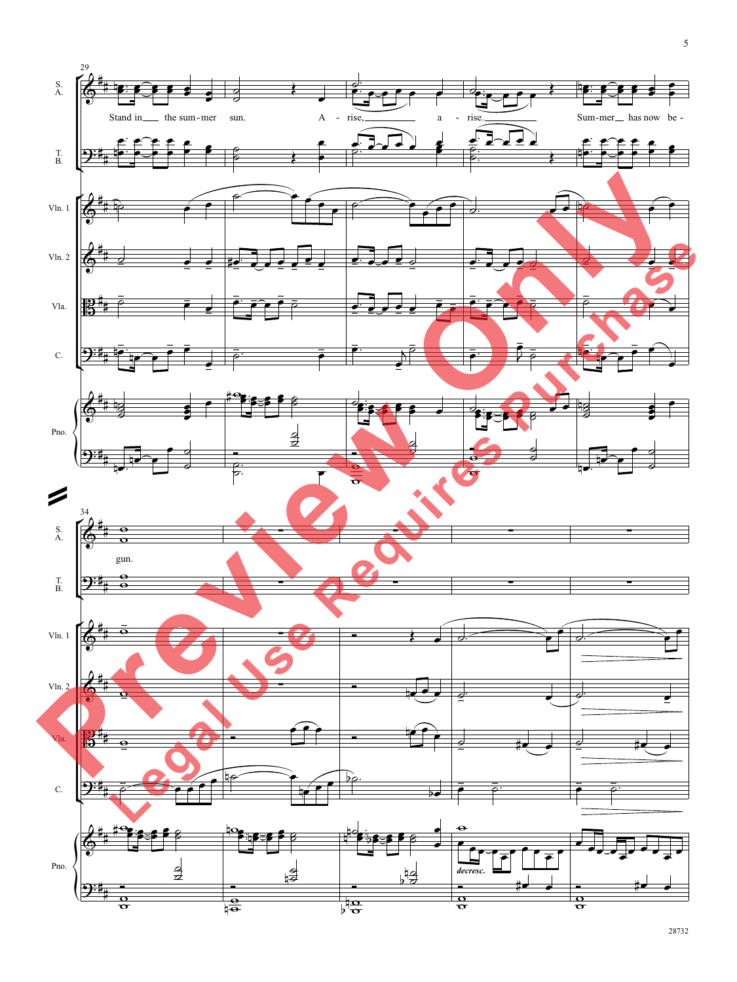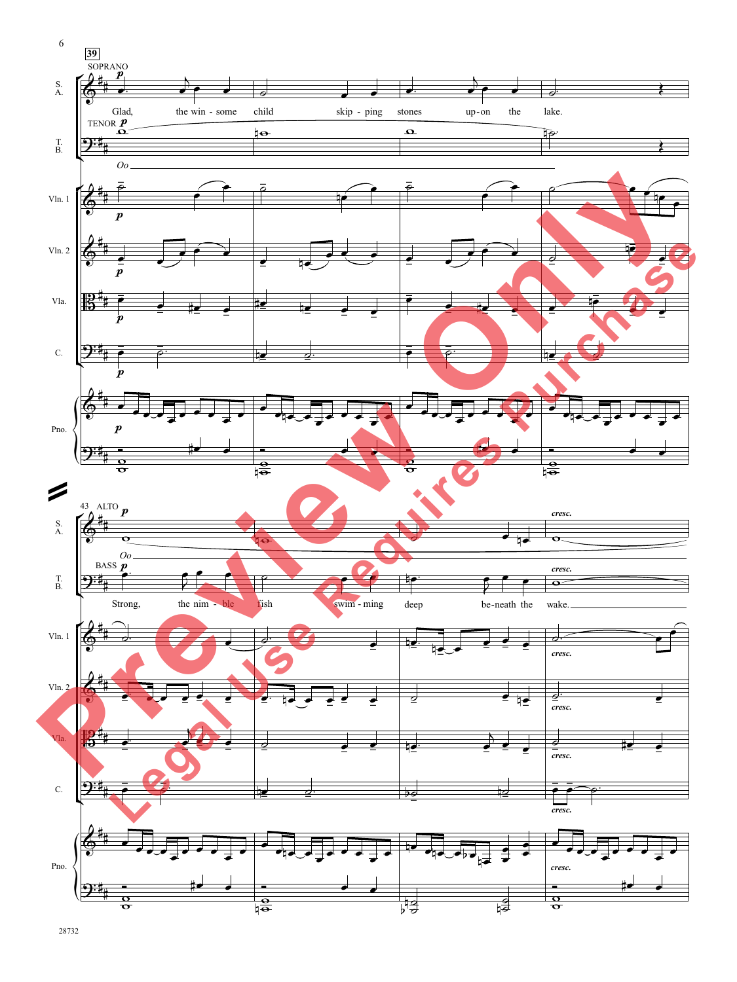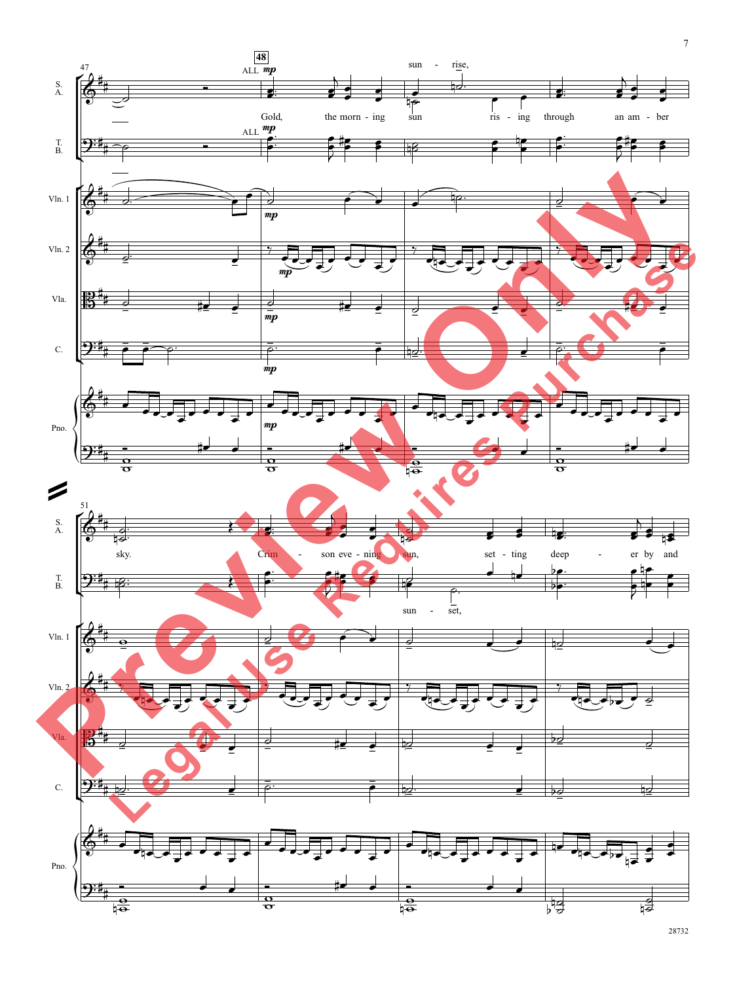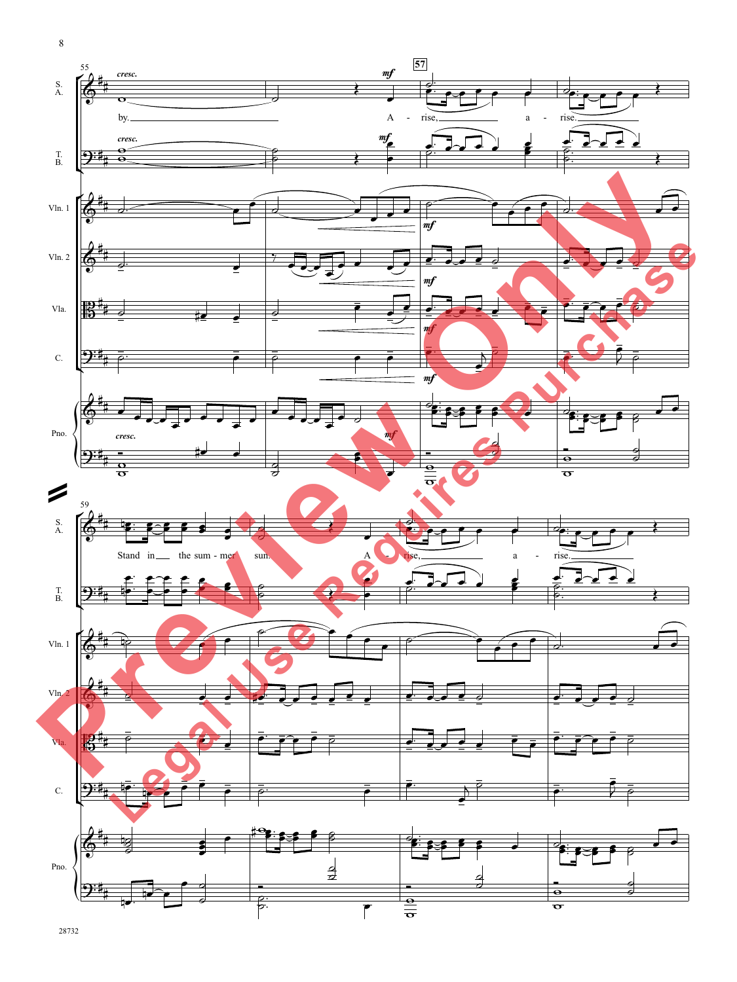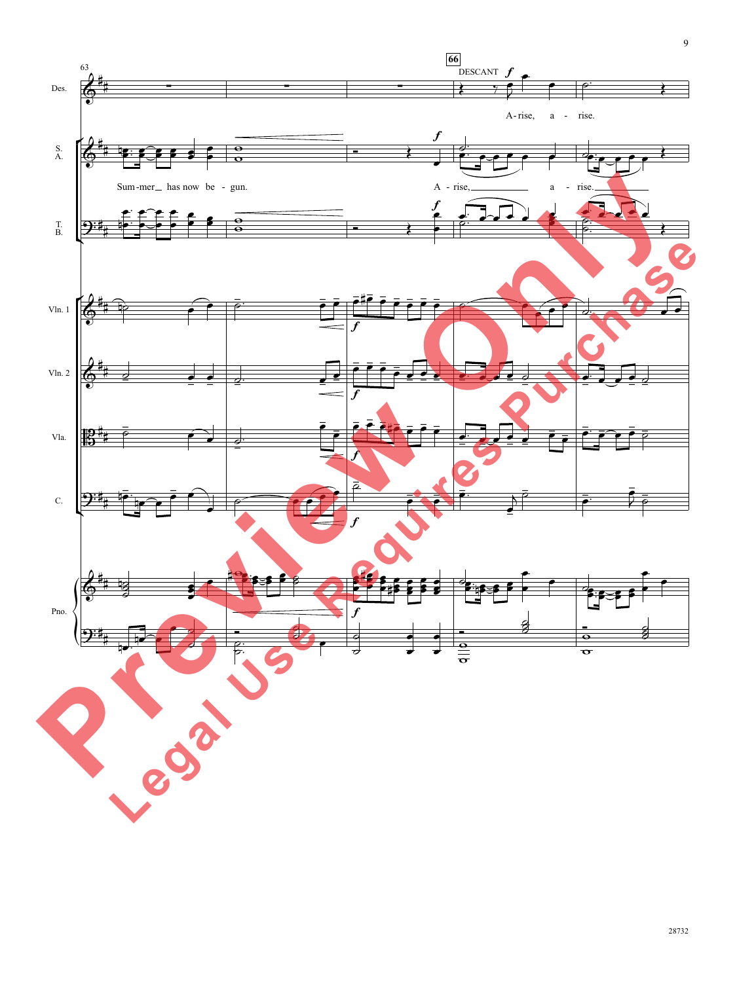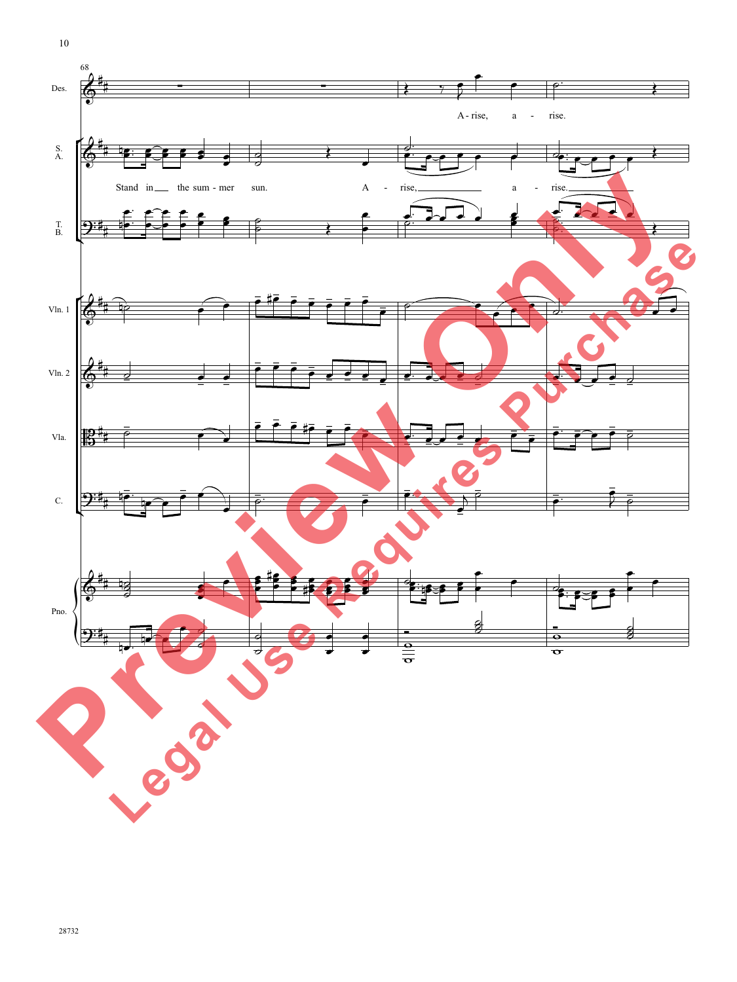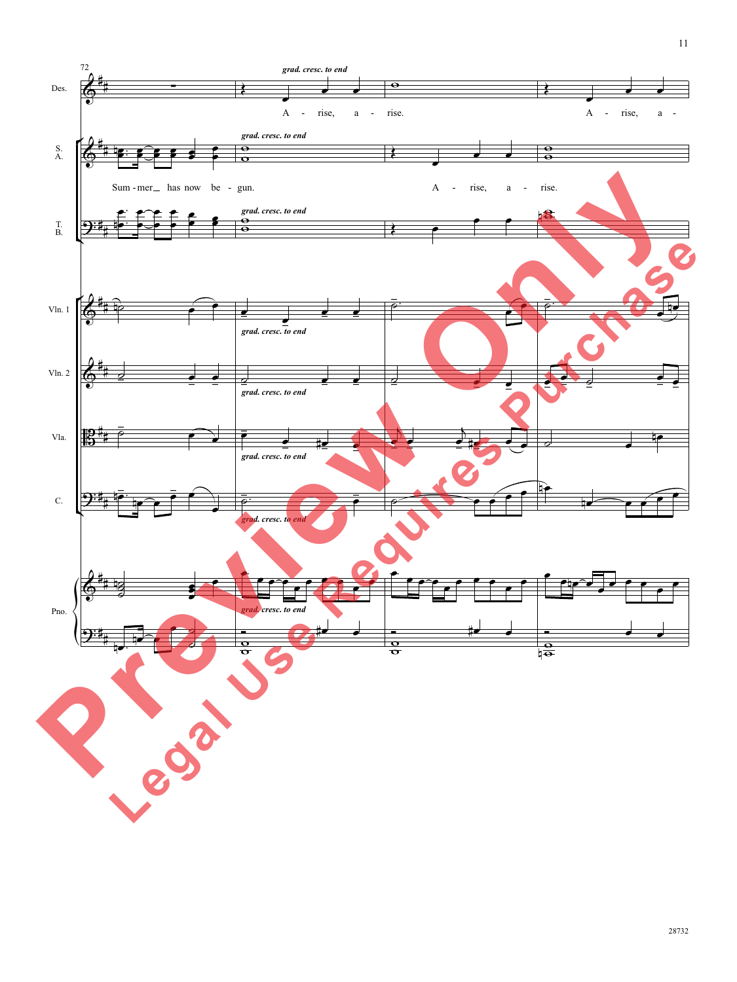